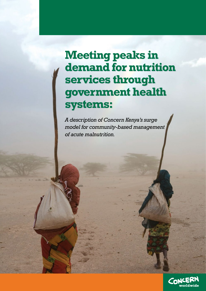# **Meeting peaks in Meeting peaks in demand for nutrition demand for nutrition services through services through government health government health systems: systems:**

*A description of Concern Kenya's surge model for community-based management of acute malnutrition.*

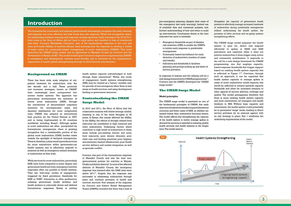pre-emergency planning (despite slow onset of the emergency and early warning); limited use of available data and contextual analysis; and, limited understanding of how and when to scale up interventions. Conclusions drawn at the time indicated the need to establish:

- • Emergency thresholds as part of disaster risk reduction (DRR) to enable the DHMTs to initiate early response to predictable emergencies;
- • Community-based surveillance for early detection of malnutrition (number of cases and trends);
- Indicators and thresholds to facilitate planning and prompt scaling up and down of service provision.

In response to lessons and the rallying call for a new design framework for CMAM programming<sup>11</sup>, Concern and the DHMTs developed the 'CMAM surge model.'

#### **The CMAM Surge Model**

#### **Model principles**

The CMAM surge model is premised on one of the fundamental principles of CMAM, that early detection of malnutrition leads to improved treatment outcomes and fewer cases of SAM, as children are treated before their malnutrition becomes severe. The model affirms that strengthening the capacity of the health system to better manage spikes in demand for services is essential to ensuring quality health services and health systems in the longer term. The model aims to:

*Strengthen the capacity of government health systems to effectively manage increased caseloads of malnutrition during predictable emergencies without undermining the health system, the provision of other services and on-going systems strengthening efforts.*

The CMAM surge model prepares the health system to plan for, detect and respond efficiently to spikes in MAM and SAM prevalence and caseload; while it does not prevent malnutrition it does trigger early action and community mobilisation. It responds to the call for a new design framework for CMAM programming, one that employs capacitybased response thresholds that trigger support based on existing health system capacity; this is reflected in Figure  $1^{12}$ . Overtime, through such an approach, it can be expected that health system capacity to manage spikes in cases of acute malnutrition would improve; this would be reflected in revised upwards capacity thresholds and allow for increased attention to other aspects of service delivery, coverage and quality. The model presupposes therefore that there is some existing health system capacity and local commitment (of managers and health workers) to HSS. Without base capacity and commitment, the health system could potentially be in permanent 'surge' mode, leading to direct service provision by an external agency with no exit strategy in place. Box 1 reinforces the underlying requirements of the model.

#### **Background on CMAM**

The humanitarian community and national governments increasingly recognize that early warning and response are more effective and less costly than late response. While this recognition exists, the relationship between warning and response remains spurious. Early warning in the 2010/2011 food crisis in the Horn of Africa did not lead to early action and resulted in loss of livelihoods and lives<sup>1</sup>. Concern Worldwide (Concern), part of the humanitarian response in the arid and semi-arid lands (ASALs) of northern Kenya, used learning from the response to develop a model of early action for community-based management of acute malnutrition (CMAM). This brief describes the CMAM 'surge model' and its application in Marsabit County by Concern and the Government of Kenya (GoK) $^2$ . The model builds upon Concern's experience implementing CMAM $^3$ in emergency and development contexts more broadly and is informed by the organisation's experience in health system strengthening through its child survival interventions<sup>4</sup>.

There has been wide scale adoption of outpatient treatment for malnutrition over the last decade and a half. These protocols and treatment strategies, known as CMAM<sup>5</sup> have increasingly been incorporated into routine health systems. The approach has particularly revolutionised the treatment of severe acute malnutrition (SAM), through the introduction of decentralised outpatient treatment for uncomplicated cases and inpatient stabilization for more complicated ones. CMAM was adopted as international best practice by the United Nations in 2007 and is being implemented in 60 countries worldwide including Kenya<sup>6</sup>. Although spikes in acute malnutrition are often precipitated by humanitarian emergencies, there is growing recognition that a considerable portion of the global acute malnutrition (GAM) burden exists outside the spotlight of declared emergencies. There is, therefore, a clear need to provide services for acute malnutrition within government-run health systems and to effectively respond to seasonal as well as emergency-related increases in malnutrition as they arise.

While services for acute malnutrition, particularly SAM, have been integrated to some degree into government health services, emergency nutrition responses often run parallel to health systems. They use 'start-stop' modes of engagement, triggered by fixed prevalence thresholds for SAM or GAM<sup>7</sup>. Interaction is often perfunctory, enlisting government health facilities and health workers in externally driven and defined humanitarian responses. Rarely is *existing*

health system capacity acknowledged or built through these interactions<sup>8</sup>. Within this mode of engagement, health systems strengthening (HSS) may be viewed as a 'luxury', suitable only for periods of non-emergency when there is less stress on health services, and using development funding or government resources.

#### **Contextualising the CMAM Surge Model**

In 2010 and 2011, the Horn of Africa had two consecutive seasons with below-average rainfall, resulting in one of the worst droughts in 60 years. In Kenya, this mainly affected the ASALs. In the ASALs, the effects of drought related food insecurity are manifested in high maternal and child malnutrition. Underlying factors which contribute to high levels of malnutrition in these areas include pre-existing chronic and acute food insecurity; poor dietary diversity; poor child care and feeding practices; poor hygiene and sanitation; limited infrastructure, poor health service delivery and market integration; as well as sporadic conflict.

Concern was part of the humanitarian response in Marsabit County and was the lead nongovernmental partner for nutrition in Moyale, Chalbi and Sololo districts<sup>9</sup>. In most of the affected districts of Marsabit County, the emergency response was initiated after the GAM rates were above  $20\%^{10}$ . Despite this, the response was successful in addressing malnutrition through static and outreach provision of health and nutrition services. Post analysis of the response by Concern and District Health Management Teams (DHMTs) revealed that there was a lack of



## **Introduction**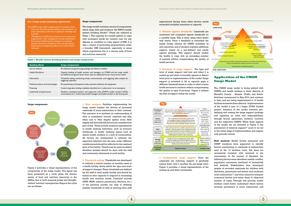#### **Surge components**

The surge model contains a series of components, which align with and reinforce the WHO's health system building blocks $13$ . These are outlined in Table 1. The capacity of a health system to cope with increased needs for curative care for any disease or condition is a key aspect of HSS. It is also a means of promoting preparedness under a broader DRR framework, especially in areas where populations live in a chronic state of food and nutrition insecurity.

Figure 2 provides a visual representation of the components of the surge model. The figure has been presented as a cycle given the chronic nature of food and nutrition insecurity in the ASALs, due to both seasonal peaks and droughtrelated 'nutrition' emergencies. Steps in the cycle are as follows:

**1. Risk analysis:** Facilities implementing the surge model analyse the drivers of increased caseloads of acute malnutrition in their contexts. The intention is to facilitate an understanding of what is considered 'normal' caseload and why, when and to what degree spikes occur. Both supply and demand side factors are considered as part of this. These include seasonal impediments to health seeking behaviour, such as women's workloads, to health 'systems' issues such as absent health workers or a lack of commodities. All factors are triangulated to estimate the expected caseload over the year under different conditions and should be reflected in the caseload seen at the facility. Trends may be quite localised therefore analysis should be done with the staff and community informants at each facility.

**2. Threshold setting:** Thresholds are developed to indicate a critical number of monthly cases at a health facility, above which the type and scale of support changes. These thresholds are defined by the staff at each health facility and should be based on *their* capacity to respond to increasing health and nutrition needs. Caseload records (SAM, MAM, malaria, pneumonia, diarrhea, etc.) of the previous months can help in defining realistic thresholds as well as drawing from staff experiences during times when service needs exceeded available resources or capacity.

**3. Monitor against thresholds:** Caseloads are monitored and compared against thresholds on a monthly basis. This is done using hand drawn wall charts. Once a threshold is exceeded the health facility informs the DHMT, mobilizes its own resources, and, if needed, requests additional support, based on a pre-defined and jointly agreed package. This support should enable the facility to cope with an increasing number of patients without compromising the quality of health services.

**4. Provision of surge support:** The type and level of surge support and how and when it is scaled up and down is formally agreed at district level prior to implementation of the model. Surge support is activated to fill in capacity gaps at different threshold levels in order to allow routine health services to continue without compromising the quality or type of services. Figure 3 outlines the flow of support within the model.

**5. Scaling-down surge support:** Once the caseloads are reducing, support is gradually scaled down until it reaches the pre-surge level. Figure 4 provides a visual representation of the scaling up and down mechanism.

 $\overline{4}$  ) (5

### **Application of the CMAM Surge Model**

The CMAM surge model is being piloted with DHMTs and health workers in three districts of Marsabit County - Moyale, Chalbi and Sololo. Activities commenced in May 2012 and continue to date, and are being implemented in 14 health facilities across the three districts. Implementation of the model is part of a larger ECHO funded project. Initiation of the model involved predefining and costing the surge support package and agreeing on roles and responsibilities, through formal agreement, between Concern and the respective DHMTs. While these aspects of the model are not featured in Figure 2, the parameters of external support<sup>14</sup> need to be set at the initial stage of implementation and require only periodic review. **Risk analysis:** Health facility personnel and DHMT members were supported to identify factors contributing to caseloads of malnutrition seen in the 14 facilities (note, this does not necessarily correlate with caseload in the



community). In the context of Marsabit, the following factors were identified: rainfall, conflict, population movement, workload of households and festivals. Stakeholders then developed graphs of recorded caseloads for children with diarrhoea, pneumonia and severe and moderate acute malnutrition $15$ , and were trained to interpret contextual factors and relate these to observed number of cases. Through this process, health workers could better understand which factors increase prevalence of acute malnutrition and

#### **Table 1 Health system building blocks and surge components**

| <b>Building Block</b>             | <b>Surge components</b>                                                                                                                                                   |
|-----------------------------------|---------------------------------------------------------------------------------------------------------------------------------------------------------------------------|
| Service delivery                  | Pre-defined and agreed surge package and delivery modality                                                                                                                |
| <b>Health Workforce</b>           | Capacity building of health workers and managers on CMAM and the surge model;<br>pre-defined and agreed 'drawn down' plan for additional human resources for health       |
| Information                       | Threshold setting, monitoring, timely communication and triggering (data analysis for<br>triggering response)                                                             |
| Medical products and technologies | Pre-positioning of therapeutic foods, essential medicines and equipment                                                                                                   |
| Financing                         | Costed surge plan, funding modalities identified and in place prior to an emergency                                                                                       |
| Leadership and governance         | Reinforce mandated 'systems' and supportive roles (DHMTs, health workers, NGOs,<br>communities, etc.) Government health managers and health workers in the 'driving seat' |

#### **Surge components**

#### **Box 1: Surge model underlying requirements**

- The CMAM surge model is appropriate for contexts where:
- • There are recurring, seasonal spikes in the prevalence of acute malnutrition, with risk of significant morbidity and mortality;
- "Management of SAM (and moderate acute malnutrition, if appropriate" with "management of acute malnutritior
- nent health systems function to a moderate standard during non-emergency times and appropriate health system strengthening efforts are in place (where indicated).





**Fig 4**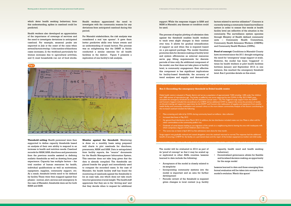which deter health seeking behaviour; from this understanding, spikes in caseload could be predicted.

Health workers also developed an appreciation of the importance of coverage of services and the need to investigate deviations in anticipated caseload. For example, seasonal peaks are expected in July at the onset of the rains when several factors overlap: 1) the number of diarrhoea cases increases, 2) the workload particularly for women increases due to agricultural activities, and 3) most households run out of food stocks. Health workers appreciated the need to investigate with the community reasons for any deviations from anticipated caseload during this period.

For Marsabit stakeholders, the risk analysis was considered a real 'eye opener'. It gave them better predictive skills over future events and an understanding of causal factors. The process was so enlightening that the DHMT in Sololo conducted a similar exercise for all health facilities in the district. Figure 5 presents a replication of one facility's risk analysis.

**Threshold setting**: Health personnel were then supported to define capacity thresholds based on analysis of their *own* ability to respond to an increase in health and nutrition needs. Caseload records for MAM, SAM, diarrhoea and pneumonia from the previous months assisted in defining realistic thresholds as well as drawing from past experience. Capacity has multiple factors – the total number of human resources for health, individual qualifications as well as motivations, equipment, supplies, community support, etc. As a result, threshold levels need to be defined by facility. These were then mapped against four phases - normal, alert, serious and emergency. In the case of Marsabit, thresholds were set for both MAM and SAM.

factors related to service utilisation<sup>16</sup>. Concern is currently testing a community-based surveillance system in order to ensure that trends at health facility level are reflective of the situation in the community. The surveillance system operates through Ministry of Health defined community units – Community Health Committees, Community Health Extension Workers (CHEWs) and Community Health Workers (CHWs).

**Monitor against the threshold:** Monitoring is done on a monthly basis using prepared wall charts to plot caseloads for diarrhoea, pneumonia, MAM and SAM. Data is extrapolated from facility reports, the "source" documents for the Health Management Information System. This exercise does not take long given that the data is already compiled. The thresholds are placed beside the graph and immediately used to compare the recorded cases. In the case of Marsabit, the health facility staff has found the monitoring of caseloads against the thresholds to be an easy task, one which does not take much time but generates crucial insight. The health staff appreciate that they are in the 'driving seat' and that they decide when to request for additional

Decentralised governance allows for flexible and localised decision making, an opportunity for the surge model

support. While the response trigger is SAM and MAM in Marsabit, any disease or condition could be used.

The process of regular plotting of admission data against the threshold enables health workers to track even slight changes in their context over time. It allows for gradual intensification of support as and when this is required based on a pre-agreed package. The model therefore promotes data for decision making at facility level and system efficiencies as external resources serve gap filling requirements for discrete periods of time only. An additional component of the model, one that does not take place at facility level, is community engagement. How effective this component is has significant implications for facility-based thresholds, the accuracy of trend analyses and supply- and demand-side

**Proof of concept:** Conditions in Marsabit County have recovered since the 2011 drought mitigating the need for 'emergency' surge support at scale. However, the model has been 'triggered' 11 times by health workers at pilot health facilities between January and September 2013; in one instance, this reached the emergency threshold level. Box 2 provides details on this event.

The model will be evaluated in 2014 as part of its 'proof of concept' so that it may be scaled up or replicated in other ASAL counties. Lessons learned to date include the following:

- • Acceptance of the model is closely related to its simplicity
- • Incorporating community systems into the model is important and an area for further development
- • Periodic review of the threshold is required given changes in local context (e.g. facility
- 
- 

capacity, health need and health seeking behaviour)

Lessons learned to date and those emerging from formal evaluation will be taken into account in the model's evolution. Watch this space!



**Box 2: Exceeding the emergency threshold in Debel health centre**

Debel health centre is situated in Moyale district and serves a population of approximately 7,500 including 1,400 under five children and 1,800 women of reproductive age. The facility is staffed by one nurse supported by two CHWs. In May 2013, MAM cases exceeded the emergency threshold set at 30 new admissions (actual cases = 35). This triggered surge support from the DHMT and Concern. Support included the secondment of a CHEW and an additional CHW to support the nurse; the provision of weekly on-the-job training and supportive supervision by the DHMT and Concern; the reallocation of supplies and equipment from another health facility and community mobilisation and outreach clinics to the more distant communities. Analysis of the factors contributing to the increased caseload included the following:

- Mass screening and referral by CHWs during community based surveillance data collection
- • Increased diarrhoea in May 2013
- • No general food distribution since March 2013. In addition, the last distribution included maize not rice. Maize is often sold for other commodities as the community prefers rice.
- • Outbreak of camel disease leading to out migration of the camels to a neighbouring district leaving the area with inadequate milk which comprises a big part of the children's diet in the area.
- The nurse was on leave in April 2013 so few admissions were done for that month.

Surge support was gradually reduced and ceased altogether once the caseload returned to normal. The response had the additional benefit of securing a CHEW for the facility on a permanent basis and the repair of the broken equipment (a mother and child scale).